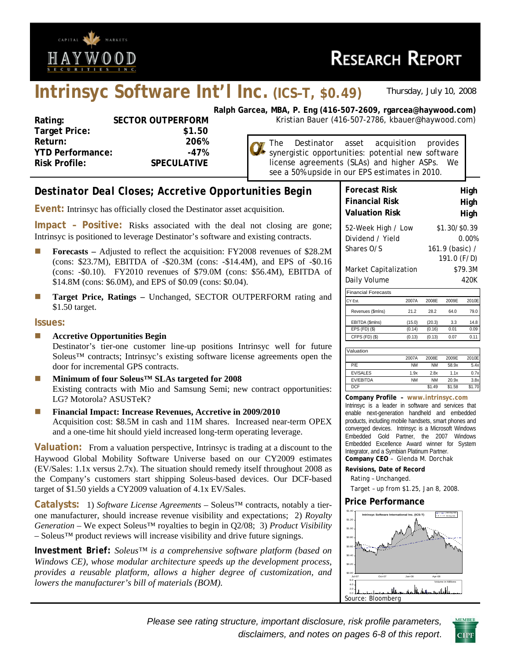

\$1.50 target.

**Issues:** 

# **Intrinsyc Software Int'l Inc. (ICS–T, \$0.49)** *Thursday, July 10, 2008*

| Rating:                 | <b>SECTOR OUTPERFORM</b> |
|-------------------------|--------------------------|
| <b>Target Price:</b>    | \$1.50                   |
| Return:                 | 206%                     |
| <b>YTD Performance:</b> | -47%                     |
| Risk Profile:           | <b>SPECULATIVE</b>       |
|                         |                          |

**Ralph Garcea, MBA, P. Eng (416-507-2609, rgarcea@haywood.com)** Kristian Bauer (416-507-2786, kbauer@haywood.com)

> The Destinator asset acquisition provides synergistic opportunities: potential new software license agreements (SLAs) and higher ASPs. We see a 50% upside in our EPS estimates in 2010.

#### **Forecast Risk High**  *Destinator Deal Closes; Accretive Opportunities Begin*  **Financial Risk Bigh High Event:** Intrinsyc has officially closed the Destinator asset acquisition. **Valuation Risk https://www.fraghman.org/Eq. 12.13. Impact – Positive:** Risks associated with the deal not closing are gone; 52-Week High / Low \$1.30/\$0.39 Intrinsyc is positioned to leverage Destinator's software and existing contracts. Dividend / Yield 0.00% Shares O/S 161.9 (basic) / **Forecasts** – Adjusted to reflect the acquisition: FY2008 revenues of \$28.2M 191.0 (F/D) (cons: \$23.7M), EBITDA of -\$20.3M (cons: -\$14.4M), and EPS of -\$0.16 Market Capitalization \$79.3M (cons: -\$0.10). FY2010 revenues of \$79.0M (cons: \$56.4M), EBITDA of Daily Volume 420K \$14.8M (cons: \$6.0M), and EPS of \$0.09 (cons: \$0.04). Financial Forecasts **Target Price, Ratings – Unchanged, SECTOR OUTPERFORM rating and** CY Est. 2007A 2008E 2009E 2010E Revenues (\$mlns) 21.2 28.2 64.0 79.0 EBITDA (\$mlns) (15.0) (20.3) 3.3 14.8 EPS (FD) (\$) (0.14) (0.16) 0.01 0.09 **Accretive Opportunities Begin**  CFPS (FD) (\$) (0.13) (0.13) 0.07 0.11 Destinator's tier-one customer line-up positions Intrinsyc well for future Valuation Soleus™ contracts; Intrinsyc's existing software license agreements open the 2007A 2008E 2009E 2010E door for incremental GPS contracts. P/E NM NM 58.9x 5.4x EV/SALES 1.9x 2.8x 1.1x 0.7x **Minimum of four Soleus™ SLAs targeted for 2008**  EV/EBITDA NM NM 20.9x 3.8x Existing contracts with Mio and Samsung Semi; new contract opportunities: DCF \$1.49 \$1.58 \$1.70 **Company Profile – www.intrinsyc.com** LG? Motorola? ASUSTeK? Intrinsyc is a leader in software and services that **Financial Impact: Increase Revenues, Accretive in 2009/2010**  enable next-generation handheld and embedded Acquisition cost: \$8.5M in cash and 11M shares. Increased near-term OPEX products, including mobile handsets, smart phones and converged devices. Intrinsyc is a Microsoft Windows and a one-time hit should yield increased long-term operating leverage. Embedded Gold Partner, the 2007 Windows Embedded Excellence Award winner for System **Valuation:** From a valuation perspective, Intrinsyc is trading at a discount to the Integrator, and a Symbian Platinum Partner. Haywood Global Mobility Software Universe based on our CY2009 estimates **Company CEO** – Glenda M. Dorchak (EV/Sales: 1.1x versus 2.7x). The situation should remedy itself throughout 2008 as **Revisions, Date of Record**  Rating – Unchanged. the Company's customers start shipping Soleus-based devices. Our DCF-based target of \$1.50 yields a CY2009 valuation of 4.1x EV/Sales. Target – up from \$1.25, Jan 8, 2008. **Price Performance Catalysts:** 1) *Software License Agreements* – Soleus™ contracts, notably a tier-\$1.40 one manufacturer, should increase revenue visibility and expectations; 2) *Royalty*  200-Day MA **Intrinsyc Software International Inc. (ICS-T)** 50-Day MA \$1.20 *Generation* – We expect Soleus™ royalties to begin in Q2/08; 3) *Product Visibility* \$1.0 – Soleus™ product reviews will increase visibility and drive future signings. \$0.80 *Investment Brief: Soleus™ is a comprehensive software platform (based on*  \$0.60 \$0.40 *Windows CE), whose modular architecture speeds up the development process,*  \$0.20 *provides a reusable platform, allows a higher degree of customization, and*  \$0.00 Jul-07 Oct-07 Jan-08 Apr-08 *lowers the manufacturer's bill of materials (BOM).*  6.0 Volume in Millions 4.0 ıl. 2.0 0.0 Source: Bloomberg

*Please see rating structure, important disclosure, risk profile parameters, disclaimers, and notes on pages 6-8 of this report*.

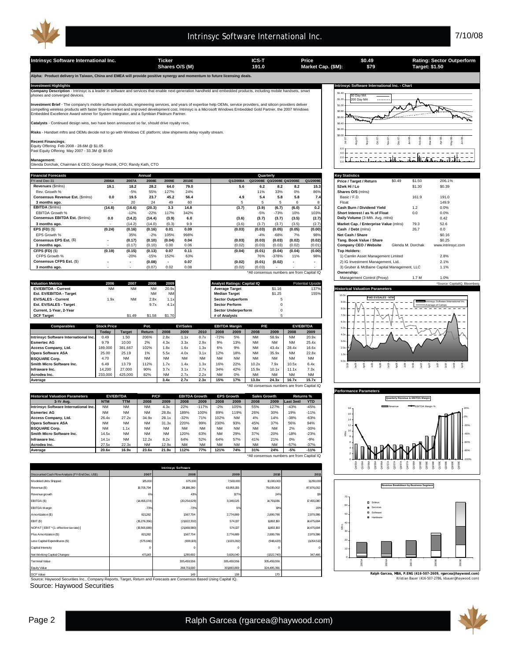

**Alpha: Product delivery in Taiwan, China and EMEA will provide positive synergy and momentum to future licensing deals.** 

| <b>Financial Forecasts</b>      |                          |                          | Annual |                          |       |          |        | Quarterly                  |                          |                                            | <b>Kev Statistics</b>                       |        |                   |                   |
|---------------------------------|--------------------------|--------------------------|--------|--------------------------|-------|----------|--------|----------------------------|--------------------------|--------------------------------------------|---------------------------------------------|--------|-------------------|-------------------|
| FY-end Dec-31                   | 2006A                    | 2007A                    | 2008E  | 2009E                    | 2010E | Q1/2008A |        | Q2/2008E Q3/2008E Q4/2008E |                          | Q1/2009E                                   | Price / Target / Return                     | \$0.49 | \$1.50            | 206.1%            |
| Revenues (\$mins)               | 19.1                     | 18.2                     | 28.2   | 64.0                     | 79.0  | 5.6      | 6.2    | 8.2                        | 8.2                      | 15.3                                       | 52wk Hi / Lo                                |        | \$1.30            | \$0.39            |
| Rev. Growth %                   |                          | $-5%$                    | 55%    | 127%                     | 24%   |          | 11%    | 33%                        | 0%                       | 86%                                        | Shares O/S (mins)                           |        |                   |                   |
| Consensus Revenue Est. (\$mins) | 0.0                      | 19.5                     | 23.7   | 45.2                     | 56.4  | 4.9      | 5.4    | 5.8                        | 5.8                      | 7.4                                        | Basic / F.D.                                |        | 161.9             | 191.0             |
| 3 months ago.                   | $\overline{\phantom{a}}$ | 20                       | 24     | 49                       | 60    |          | 5      | 5                          | 6                        |                                            | Float                                       |        |                   | 149.9             |
| EBITDA (\$mins)                 | (14.8)                   | (16.6)                   | (20.3) | 3.3                      | 14.8  | (3.7)    | (3.9)  | (6.7)                      | (6.0)                    | 0.2                                        | Cash Burn / Dividend Yield                  |        | 1.2               | 0.0%              |
| <b>EBITDA Growth %</b>          |                          | $-12%$                   | $-22%$ | 117%                     | 342%  |          | $-5%$  | $-73%$                     | 10%                      | 103%                                       | Short Interest / as % of Float              |        | 0.0               | 0.0%              |
| Consensus EBITDA Est. (\$mins)  | 0.0                      | (14.2)                   | (14.4) | (3.9)                    | 6.0   | (3.6)    | (3.7)  | (3.7)                      | (3.5)                    | (2.7)                                      | Daily Volume (3-Mth. Avg. mlns)             |        |                   | 0.42              |
| 3 months ago.                   |                          | (14.2)                   | (14.0) | (0.3)                    | 9.9   | (3.6)    | (3.7)  | (3.7)                      | (3.5)                    | (2.7)                                      | Market Cap. / Enterprise Value (mlns)       |        | 79.3              | 52.6              |
| $EPS$ (FD) $(S)$                | (0.24)                   | (0.16)                   | (0.16) | 0.01                     | 0.09  | (0.03)   | (0.03) | (0.05)                     | (0.05)                   | (0.00)                                     | Cash / Debt (mins)                          |        | 26.7              | 0.0               |
| EPS Growth %                    |                          | 35%                      | $-2%$  | 105%                     | 998%  |          | $-4%$  | $-68%$                     | 7%                       | 98%                                        | Net Cash / Share                            |        |                   | \$0.16            |
| Consensus EPS Est. (\$)         | ٠                        | (0.17)                   | (0.10) | (0.04)                   | 0.04  | (0.03)   | (0.03) | (0.03)                     | (0.02)                   | (0.02)                                     | Tang. Book Value / Share                    |        |                   | \$0.25            |
| 3 months ago.                   | $\overline{\phantom{a}}$ | (0.17)                   | (0.10) | 0.00                     | 0.06  | (0.02)   | (0.03) | (0.03)                     | (0.02)                   | (0.01)                                     | Company CEO / Website                       |        | Glenda M. Dorchak | www.intrinsvc.com |
| CFPS (FD) (\$)                  | (0.19)                   | (0.15)                   | (0.13) | 0.07                     | 0.11  | (0.04)   | (0.01) | (0.04)                     | (0.04)                   | (0.00)                                     | <b>Top Holders:</b>                         |        |                   |                   |
| CFPS Growth %                   |                          | $-20%$                   | $-15%$ | 152%                     | 63%   |          | 76%    | $-378%$                    | 11%                      | 98%                                        | 1) Camlin Asset Management Limited          |        |                   | 2.8%              |
| Consensus CFPS Est. (\$)        | $\blacksquare$           | $\overline{\phantom{a}}$ | (0.08) | $\overline{\phantom{a}}$ | 0.07  | (0.02)   | (0.01) | (0.02)                     | $\overline{\phantom{a}}$ |                                            | 2) IG Investment Management, Ltd.           |        |                   | 2.1%              |
| 3 months ago.                   |                          |                          | (0.07) | 0.02                     | 0.08  | (0.02)   | (0.03) |                            |                          |                                            | 3) Gruber & McBaine Capital Management, LLC |        |                   | 1.1%              |
|                                 |                          |                          |        |                          |       |          |        |                            |                          | *All consensus numbers are from Capital IQ | Ownership:                                  |        |                   |                   |

|                                       |                    |               |           |           |                 |           |                      |                                    |           |           |           |                         | <b>IVIGHAYCHICH CUILIUI (FIUAY)</b><br>1.7 IVI<br>1.070                    |
|---------------------------------------|--------------------|---------------|-----------|-----------|-----------------|-----------|----------------------|------------------------------------|-----------|-----------|-----------|-------------------------|----------------------------------------------------------------------------|
| <b>Valuation Metrics</b>              | 2006               | 2007          | 2008      | 2009      |                 |           |                      | <b>Analyst Ratings: Capital IQ</b> |           |           |           | <b>Potential Upside</b> | *Source: CapitalIQ, Bloomberg                                              |
| <b>EV/EBITDA - Current</b>            | <b>NM</b>          | <b>NM</b>     | <b>NM</b> | 20.9x     |                 |           |                      | <b>Average Target</b>              |           | \$1.16    |           | 137%                    | <b>Historical Valuation Parameters</b>                                     |
| Est. EV/EBITDA - Target               |                    |               | <b>NM</b> | <b>NM</b> |                 |           | <b>Median Target</b> |                                    |           | \$1.25    |           | 155%                    |                                                                            |
| <b>EV/SALES - Current</b>             | 1.9x               | <b>NM</b>     | 2.8x      | 1.1x      |                 |           |                      | <b>Sector Outperform</b>           |           |           |           |                         | <b>FWD EV/SALES - NTM</b><br>Intrinsvc Software International Inc.<br>9.0x |
| Est. EV/SALES - Target                |                    |               | 9.7x      | 4.1x      |                 |           |                      | <b>Sector Perform</b>              |           |           |           |                         | Average of Comps                                                           |
| Current, 1-Year, 2-Year               |                    |               |           |           |                 |           |                      | <b>Sector Underperform</b>         |           |           |           |                         | 8.0x                                                                       |
| <b>DCF Target</b>                     |                    | \$1.49        | \$1.58    | \$1.70    |                 |           | # of Analysts        |                                    |           |           |           |                         | 7.0x                                                                       |
|                                       |                    |               |           |           |                 |           |                      |                                    |           |           |           |                         | $6.0x +$<br>$\overline{\phantom{a}}$<br>$\overline{\phantom{a}}$           |
| Comparables                           | <b>Stock Price</b> |               | Pot.      |           | <b>EV/Sales</b> |           |                      | <b>EBITDA Margin</b>               |           | P/E       |           | <b>EV/EBITDA</b>        | 5.0x                                                                       |
|                                       | Today              | <b>Target</b> | Return    | 2008      | 2009            | 2010      | 2008                 | 2009                               | 2008      | 2009      | 2008      | 2009                    |                                                                            |
| Intrinsyc Software International Inc. | 0.49               | 1.50          | 206%      | 2.8x      | 1.1x            | 0.7x      | $-72%$               | 5%                                 | <b>NM</b> | 58.9x     | <b>NM</b> | 20.9x                   | $40x +$                                                                    |
| <b>Esmertec AG</b>                    | 9.79               | 10.00         | 2%        | 4.3x      | 3.3x            | 2.9x      | 9%                   | 13%                                | <b>NM</b> | <b>NM</b> | <b>NM</b> | 25.4x                   | $3.0x +$                                                                   |
| Access Company, Ltd.                  | 189,000            | 381.667       | 102%      | 1.8x      | 1.6x            | 1.3x      | 6%                   | 9%                                 | <b>NM</b> | 43.4x     | 28.4x     | 16.6x                   | 2.0x                                                                       |
| <b>Opera Software ASA</b>             | 25.00              | 25.19         | 1%        | 5.5x      | 4.0x            | 3.1x      | 12%                  | 18%                                | <b>NM</b> | 35.9x     | <b>NM</b> | 22.8x                   | $1.0x -$                                                                   |
| <b>BSQUARE Corp.</b>                  | 4.70               | <b>NM</b>     | <b>NM</b> | <b>NM</b> | <b>NM</b>       | <b>NM</b> | <b>NM</b>            | <b>NM</b>                          | <b>NM</b> | <b>NM</b> | <b>NM</b> | <b>NM</b>               |                                                                            |
| Smith Micro Software Inc.             | 6.49               | 13.79         | 112%      | 1.7x      | 1.4x            | 1.3x      | 16%                  | 22%                                | 10.2x     | 7.9x      | 10.5x     | 6.4x                    |                                                                            |
| Infraware Inc.                        | 14.200             | 27,000        | 90%       | 3.7x      | 3.1x            | 2.7x      | 34%                  | 42%                                | 15.9x     | 10.1x     | 11.1x     | 7.3x                    |                                                                            |

| <b>Historical Valuation Parameters</b> |            | <b>EV/EBITDA</b> | <b>P/CF</b> |           |           | <b>EBITDA Growth</b> | <b>EPS Growth</b> |           | <b>Sales Growth</b> |           | Returns % |            |
|----------------------------------------|------------|------------------|-------------|-----------|-----------|----------------------|-------------------|-----------|---------------------|-----------|-----------|------------|
| 3-Yr Ava.                              | <b>NTM</b> | <b>TTM</b>       | 2008        | 2009      | 2008      | 2009                 | 2008              | 2009      | 2008                | 2009      | Last 3mtl | <b>YTD</b> |
| Intrinsyc Software International Inc.  | <b>NM</b>  | <b>NM</b>        | <b>NM</b>   | 4.3x      | 22%       | $-117%$              | $-2%$             | 105%      | 55%                 | 127%      | $-43%$    | $-45%$     |
| Esmertec AG                            | <b>NM</b>  | <b>NM</b>        | <b>NM</b>   | 28.8x     | 189%      | 100%                 | 89%               | 119%      | 26%                 | 30%       | 19%       | $-11%$     |
| Access Company, Ltd.                   | 26.4x      | 27.2x            | 34.9x       | 28.1x     | $-32%$    | 71%                  | 102%              | <b>NM</b> | 4%                  | 14%       | $-38%$    | $-63%$     |
| <b>Opera Software ASA</b>              | <b>NM</b>  | <b>NM</b>        | <b>NM</b>   | 31.3x     | 220%      | 99%                  | 230%              | 93%       | 45%                 | 37%       | 56%       | 94%        |
| <b>BSQUARE Corp.</b>                   | <b>NM</b>  | 1.1x             | <b>NM</b>   | <b>NM</b> | <b>NM</b> | <b>NM</b>            | <b>NM</b>         | <b>NM</b> | <b>NM</b>           | <b>NM</b> | 2%        | $-30%$     |
| Smith Micro Software Inc.              | 14.5x      | <b>NM</b>        | <b>NM</b>   | <b>NM</b> | 120%      | 63%                  | <b>NM</b>         | 29%       | 37%                 | 20%       | $-18%$    | $-23%$     |
| Infraware Inc.                         | 14.1x      | <b>NM</b>        | 12.2x       | 8.2x      | 64%       | 52%                  | 64%               | 57%       | 41%                 | 21%       | 0%        | $-9%$      |
| Acrodea Inc.                           | 27.5x      | 22.3x            | <b>NM</b>   | 12.9x     | NM        | <b>NM</b>            | <b>NM</b>         | <b>NM</b> | <b>NM</b>           | <b>NM</b> | $-57%$    | $-37%$     |
| Average                                | 20.6x      | 16.9x            | 23.6x       | 21.9x     | 112%      | 77%                  | 121%              | 74%       | 31%                 | 24%       | $-5%$     | $-11%$     |

**Infraware Inc.** | 14,200 | 27,000 | 90% | 3.7x 3.1x 2.7x | 34% 42% | 15.9x 10.1x | 11.1x 7.3x **Acrodea Inc.** 233,000 425,000 82% NM 2.7x 2.2x NM 0% NM NM NM NM **Average 3.4x 2.7x 2.3x 15% 17% 13.0x 24.3x 16.7x 15.7x**

|  | *All consensus numbers are from Capital IQ |  |  |  |
|--|--------------------------------------------|--|--|--|
|  |                                            |  |  |  |

\*All consensus numbers are from Capital IQ

|                                                  |              | <b>Intrinsyc Software</b> |             |             |             |
|--------------------------------------------------|--------------|---------------------------|-------------|-------------|-------------|
| Discounted Cash Flow Analysis (FY-End Dec, US\$) | 2007         | 2008                      | 2009        | 2010        | 2011        |
| Modeled Units Shipped                            | 125,000      | 675,000                   | 7,500,000   | 10,000,000  | 11,250,000  |
| Revenue (\$)                                     | 19,705,794   | 28, 188, 280              | 63,955,155  | 79,035,002  | 87,876,002  |
| Revenue growth                                   | 6%           | 43%                       | 127%        | 24%         | 11%         |
| EBITDA (\$)                                      | (14,455,074) | (20.254, 629)             | 3,349,025   | 14,791,936  | 17,455,080  |
| <b>EBITDA</b> Margin                             | $-73%$       | $-72%$                    | 5%          | 19%         | 20%         |
| Amortization (\$)                                | 821282       | 1567,704                  | 2,774,889   | 2,899,786   | 2,979,386   |
| EBIT (\$)                                        | (15,276,356) | (21822,332)               | 574,137     | 11892,150   | 14,475,694  |
| NOPAT [EBIT * (1- effective tax rate) ]          | (15,565,689) | (21868, 580)              | 574,137     | 11892,150   | 14,475,694  |
| Plus Amortization (\$)                           | 821282       | 1567,704                  | 2,774,889   | 2,899,786   | 2,979,386   |
| Less Capital Expenditures (\$)                   | (575,046)    | (699, 103)                | (1023.282)  | (948, 420)  | (1054, 512) |
| Capital Intensity                                | $\Omega$     | O                         |             |             | $^{\circ}$  |
| Net Working Capital Changes                      | 471143       | 1290,692                  | 3,826,040   | (1522,740)  | 347,466     |
| <b>Terminal Value</b>                            |              | 305,459,556               | 305,459,556 | 305,459,556 |             |
| Equity Value                                     |              | 268,701590                | 301883,869  | 324,495,356 |             |
| DCE Volum                                        |              | 140                       | 159         | 170         |             |

Source: Haywood Securities Inc., Company Reports, Target, Return and Forecasts are Consensus Based Using Capital IQ. Kristian Bauer (416-507-2786, kbauer@haywood.com) DCF Value 1 1.49 1 .58 .70

Source: Haywood Securities

| Intrinsyc Software International Inc. - Chart<br>$$1.40 -$<br>50 Day MA<br>\$1.20<br>⊣200 Dav MA<br><br>Investment Brief - The company's mobile software products, engineering services, and years of expertise help OEMs, service providers, and silicon providers deliver<br>\$1.00<br>m.<br>compelling wireless products with faster time-to-market and improved development cost. Intrinsyc is a Microsoft Windows Embedded Gold Partner, the 2007 Windows<br>\$0.80<br>Embedded Excellence Award winner for System Integrator, and a Symbian Platinum Partner.<br>\$0.60<br>\$0.40<br>\$0.20<br>Risks - Handset mftrs and OEMs decide not to go with Windows CE platform; slow shipments delay royalty stream.<br>\$0.00<br><b>Recent Financings:</b><br>Equity Offering Feb 2008 - 28.6M @ \$1.05<br>Past Equity Offering May 2007 - 33.3M @ \$0.60<br>Glenda Dorchak, Chairman & CEO; George Reznik, CFO; Randy Kath, CTO<br>. |                                                                                                                                                                   |  |  |  |  |  |  |  |
|---------------------------------------------------------------------------------------------------------------------------------------------------------------------------------------------------------------------------------------------------------------------------------------------------------------------------------------------------------------------------------------------------------------------------------------------------------------------------------------------------------------------------------------------------------------------------------------------------------------------------------------------------------------------------------------------------------------------------------------------------------------------------------------------------------------------------------------------------------------------------------------------------------------------------------------|-------------------------------------------------------------------------------------------------------------------------------------------------------------------|--|--|--|--|--|--|--|
|                                                                                                                                                                                                                                                                                                                                                                                                                                                                                                                                                                                                                                                                                                                                                                                                                                                                                                                                       | <b>Investment Highlights</b>                                                                                                                                      |  |  |  |  |  |  |  |
|                                                                                                                                                                                                                                                                                                                                                                                                                                                                                                                                                                                                                                                                                                                                                                                                                                                                                                                                       | Company Description - Intrinsyc is a leader in software and services that enable next-generation handheld and embedded products, including mobile handsets, smart |  |  |  |  |  |  |  |
|                                                                                                                                                                                                                                                                                                                                                                                                                                                                                                                                                                                                                                                                                                                                                                                                                                                                                                                                       | phones and converged devices.                                                                                                                                     |  |  |  |  |  |  |  |
|                                                                                                                                                                                                                                                                                                                                                                                                                                                                                                                                                                                                                                                                                                                                                                                                                                                                                                                                       |                                                                                                                                                                   |  |  |  |  |  |  |  |
|                                                                                                                                                                                                                                                                                                                                                                                                                                                                                                                                                                                                                                                                                                                                                                                                                                                                                                                                       |                                                                                                                                                                   |  |  |  |  |  |  |  |
|                                                                                                                                                                                                                                                                                                                                                                                                                                                                                                                                                                                                                                                                                                                                                                                                                                                                                                                                       |                                                                                                                                                                   |  |  |  |  |  |  |  |
|                                                                                                                                                                                                                                                                                                                                                                                                                                                                                                                                                                                                                                                                                                                                                                                                                                                                                                                                       |                                                                                                                                                                   |  |  |  |  |  |  |  |
|                                                                                                                                                                                                                                                                                                                                                                                                                                                                                                                                                                                                                                                                                                                                                                                                                                                                                                                                       | Catalysts - Continued design wins, two have been announced so far, should drive royalty revs.                                                                     |  |  |  |  |  |  |  |
|                                                                                                                                                                                                                                                                                                                                                                                                                                                                                                                                                                                                                                                                                                                                                                                                                                                                                                                                       |                                                                                                                                                                   |  |  |  |  |  |  |  |
|                                                                                                                                                                                                                                                                                                                                                                                                                                                                                                                                                                                                                                                                                                                                                                                                                                                                                                                                       |                                                                                                                                                                   |  |  |  |  |  |  |  |
|                                                                                                                                                                                                                                                                                                                                                                                                                                                                                                                                                                                                                                                                                                                                                                                                                                                                                                                                       |                                                                                                                                                                   |  |  |  |  |  |  |  |
|                                                                                                                                                                                                                                                                                                                                                                                                                                                                                                                                                                                                                                                                                                                                                                                                                                                                                                                                       |                                                                                                                                                                   |  |  |  |  |  |  |  |
|                                                                                                                                                                                                                                                                                                                                                                                                                                                                                                                                                                                                                                                                                                                                                                                                                                                                                                                                       |                                                                                                                                                                   |  |  |  |  |  |  |  |
|                                                                                                                                                                                                                                                                                                                                                                                                                                                                                                                                                                                                                                                                                                                                                                                                                                                                                                                                       |                                                                                                                                                                   |  |  |  |  |  |  |  |
|                                                                                                                                                                                                                                                                                                                                                                                                                                                                                                                                                                                                                                                                                                                                                                                                                                                                                                                                       | Management:                                                                                                                                                       |  |  |  |  |  |  |  |
|                                                                                                                                                                                                                                                                                                                                                                                                                                                                                                                                                                                                                                                                                                                                                                                                                                                                                                                                       |                                                                                                                                                                   |  |  |  |  |  |  |  |
|                                                                                                                                                                                                                                                                                                                                                                                                                                                                                                                                                                                                                                                                                                                                                                                                                                                                                                                                       |                                                                                                                                                                   |  |  |  |  |  |  |  |

| <b>Key Statistics</b>                       |        |                   |                   |
|---------------------------------------------|--------|-------------------|-------------------|
| Price / Target / Return                     | \$0.49 | \$1.50            | 206.1%            |
| 52wk Hi / Lo                                |        | \$1.30            | \$0.39            |
| Shares O/S (mins)                           |        |                   |                   |
| Basic / F.D.                                |        | 161.9             | 191.0             |
| Float                                       |        |                   | 149.9             |
| Cash Burn / Dividend Yield                  |        | 1.2               | 0.0%              |
| Short Interest / as % of Float              |        | 0.0               | 0.0%              |
| Daily Volume (3-Mth. Avg. mlns)             |        |                   | 0.42              |
| Market Cap. / Enterprise Value (mlns)       |        | 79.3              | 52.6              |
| Cash / Debt (mlns)                          |        | 26.7              | 0.0               |
| Net Cash / Share                            |        |                   | \$0.16            |
| Tang. Book Value / Share                    |        |                   | \$0.25            |
| Company CEO / Website                       |        | Glenda M. Dorchak | www.intrinsyc.com |
| <b>Top Holders:</b>                         |        |                   |                   |
| 1) Camlin Asset Management Limited          |        |                   | 2.8%              |
| 2) IG Investment Management, Ltd.           |        |                   | 2.1%              |
| 3) Gruber & McBaine Capital Management, LLC |        |                   | 1.1%              |
| Ownership:                                  |        |                   |                   |
| Management Control (Proxy)                  |        | 1.7 M             | 1.0%              |







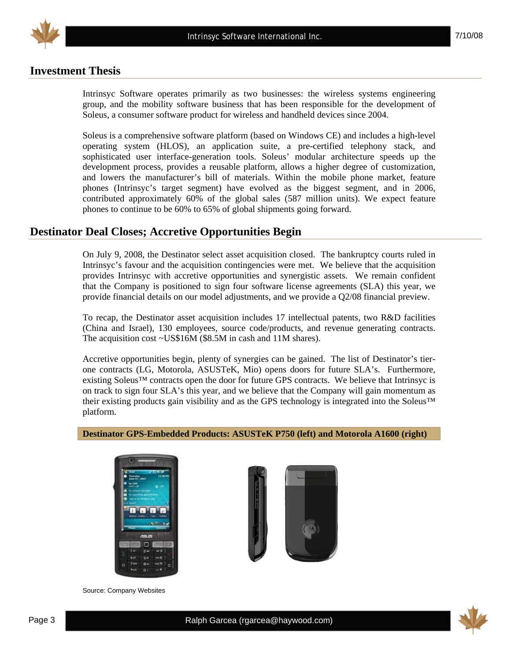

### **Investment Thesis**

Intrinsyc Software operates primarily as two businesses: the wireless systems engineering group, and the mobility software business that has been responsible for the development of Soleus, a consumer software product for wireless and handheld devices since 2004.

Soleus is a comprehensive software platform (based on Windows CE) and includes a high-level operating system (HLOS), an application suite, a pre-certified telephony stack, and sophisticated user interface-generation tools. Soleus' modular architecture speeds up the development process, provides a reusable platform, allows a higher degree of customization, and lowers the manufacturer's bill of materials. Within the mobile phone market, feature phones (Intrinsyc's target segment) have evolved as the biggest segment, and in 2006, contributed approximately 60% of the global sales (587 million units). We expect feature phones to continue to be 60% to 65% of global shipments going forward.

#### **Destinator Deal Closes; Accretive Opportunities Begin**

On July 9, 2008, the Destinator select asset acquisition closed. The bankruptcy courts ruled in Intrinsyc's favour and the acquisition contingencies were met. We believe that the acquisition provides Intrinsyc with accretive opportunities and synergistic assets. We remain confident that the Company is positioned to sign four software license agreements (SLA) this year, we provide financial details on our model adjustments, and we provide a Q2/08 financial preview.

To recap, the Destinator asset acquisition includes 17 intellectual patents, two R&D facilities (China and Israel), 130 employees, source code/products, and revenue generating contracts. The acquisition cost ~US\$16M (\$8.5M in cash and 11M shares).

Accretive opportunities begin, plenty of synergies can be gained. The list of Destinator's tierone contracts (LG, Motorola, ASUSTeK, Mio) opens doors for future SLA's. Furthermore, existing Soleus™ contracts open the door for future GPS contracts. We believe that Intrinsyc is on track to sign four SLA's this year, and we believe that the Company will gain momentum as their existing products gain visibility and as the GPS technology is integrated into the Soleus™ platform.

#### **Destinator GPS-Embedded Products: ASUSTeK P750 (left) and Motorola A1600 (right)**



Source: Company Websites



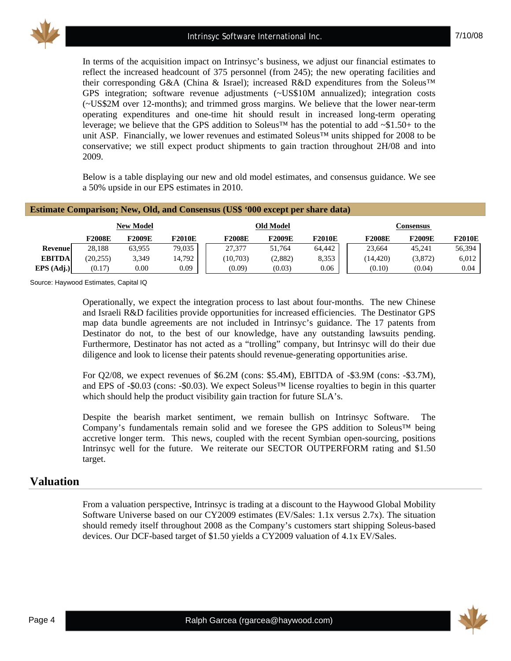

7/10/08

In terms of the acquisition impact on Intrinsyc's business, we adjust our financial estimates to reflect the increased headcount of 375 personnel (from 245); the new operating facilities and their corresponding G&A (China & Israel); increased R&D expenditures from the Soleus™ GPS integration; software revenue adjustments (~US\$10M annualized); integration costs (~US\$2M over 12-months); and trimmed gross margins. We believe that the lower near-term operating expenditures and one-time hit should result in increased long-term operating leverage; we believe that the GPS addition to Soleus™ has the potential to add  $\sim$ \$1.50+ to the unit ASP. Financially, we lower revenues and estimated Soleus<sup>™</sup> units shipped for 2008 to be conservative; we still expect product shipments to gain traction throughout 2H/08 and into 2009.

Below is a table displaying our new and old model estimates, and consensus guidance. We see a 50% upside in our EPS estimates in 2010.

|                |               |                  |               | <b>Estimate Comparison; New, Old, and Consensus (US\$ '000 except per share data)</b> |           |               |               |               |               |  |  |  |  |  |  |
|----------------|---------------|------------------|---------------|---------------------------------------------------------------------------------------|-----------|---------------|---------------|---------------|---------------|--|--|--|--|--|--|
|                |               | <b>New Model</b> |               |                                                                                       | Old Model |               |               | Consensus     |               |  |  |  |  |  |  |
|                | <b>F2008E</b> | <b>F2009E</b>    | <b>F2010E</b> | <b>F2008E</b>                                                                         | F2009E    | <b>F2010E</b> | <b>F2008E</b> | <b>F2009E</b> | <b>F2010E</b> |  |  |  |  |  |  |
| <b>Revenue</b> | 28.188        | 63.955           | 79,035        | 27.377                                                                                | 51.764    | 64.442        | 23,664        | 45.241        | 56,394        |  |  |  |  |  |  |
| <b>EBITDA</b>  | (20, 255)     | 3,349            | 14,792        | (10,703)                                                                              | (2,882)   | 8,353         | (14, 420)     | (3,872)       | 6,012         |  |  |  |  |  |  |
| EPS (Adj.)     | (0.17)        | 0.00             | 0.09          | (0.09)                                                                                | (0.03)    | 0.06          | (0.10)        | (0.04)        | 0.04          |  |  |  |  |  |  |

Source: Haywood Estimates, Capital IQ

Operationally, we expect the integration process to last about four-months. The new Chinese and Israeli R&D facilities provide opportunities for increased efficiencies. The Destinator GPS map data bundle agreements are not included in Intrinsyc's guidance. The 17 patents from Destinator do not, to the best of our knowledge, have any outstanding lawsuits pending. Furthermore, Destinator has not acted as a "trolling" company, but Intrinsyc will do their due diligence and look to license their patents should revenue-generating opportunities arise.

For Q2/08, we expect revenues of \$6.2M (cons: \$5.4M), EBITDA of -\$3.9M (cons: -\$3.7M), and EPS of -\$0.03 (cons: -\$0.03). We expect Soleus™ license royalties to begin in this quarter which should help the product visibility gain traction for future SLA's.

Despite the bearish market sentiment, we remain bullish on Intrinsyc Software. The Company's fundamentals remain solid and we foresee the GPS addition to Soleus™ being accretive longer term. This news, coupled with the recent Symbian open-sourcing, positions Intrinsyc well for the future. We reiterate our SECTOR OUTPERFORM rating and \$1.50 target.

#### **Valuation**

From a valuation perspective, Intrinsyc is trading at a discount to the Haywood Global Mobility Software Universe based on our CY2009 estimates (EV/Sales: 1.1x versus 2.7x). The situation should remedy itself throughout 2008 as the Company's customers start shipping Soleus-based devices. Our DCF-based target of \$1.50 yields a CY2009 valuation of 4.1x EV/Sales.

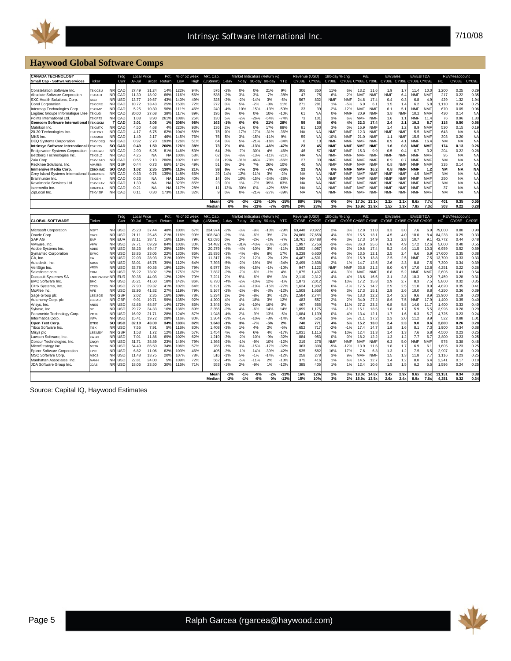

# **Haywood Global Software Comps**

| <b>CANADA TECHNOLOGY</b>                         |                     |                        | Trdg                     | <b>Local Price</b> |                | Pot.      | % of 52 week |                   | Mkt. Cap.      |                |                |                  | Market Indicators (Return %) |                         | Revenue (USD) |            | 180-day % chg |                   | P/E               |                            | <b>EV/Sales</b>         |              | <b>EV/EBITDA</b>  |              |                 | REV/Headcount |                |
|--------------------------------------------------|---------------------|------------------------|--------------------------|--------------------|----------------|-----------|--------------|-------------------|----------------|----------------|----------------|------------------|------------------------------|-------------------------|---------------|------------|---------------|-------------------|-------------------|----------------------------|-------------------------|--------------|-------------------|--------------|-----------------|---------------|----------------|
| <b>Small Cap - Software/Services</b>             | Ticker              |                        | Curr                     | 09-Jul             | Target         | Return    | Low          | High              | (US\$mm)       | 1-day          | 7-day          | 30-day           | 90-day                       | <b>YTD</b>              | CY08E         | CY09E      | CY08E         | CY09E CY08E CY09E |                   |                            | CY08E CY09E CY08E CY09E |              |                   |              | HC              | CY08E         | CY09E          |
| Constellation Software Inc.                      | <b>FSX:CSU</b>      |                        | CAD                      | 27.49              | 31.24          | 149       | 122%         | 94%               | 576            | $-2%$          | 0%             | 0%               | 21%                          | 9%                      | 306           | 350        | 11%           | 6%                | 13.2              | 11.6                       | 1.9                     | 1.7          | 11.4              | 10.0         | 1,200           | 0.25          | 0.29           |
| Absolute Software Corporation                    | <b>SX:ABT</b>       |                        | CAD                      | 11.39              | 18.92          | 66%       | 116%         | 56%               | 538            | $-2%$          | 3%             | 3%               | $-7%$                        | $-38%$                  | 47            | 75         | $-6%$         | $-2%$             | <b>NMF</b>        | <b>NMF</b>                 | <b>NMF</b>              | 6.4          | <b>NMF</b>        | <b>NMF</b>   | 217             | 0.22          | 0.35           |
| SXC Health Solutions, Corp.                      | <b>SXCI</b>         |                        | USC                      | 13.77              | 19.67          | 43%       | 140%         | 49%               | 328            | $-2%$          | $-2%$          | $-14%$           | 3%                           | $-5%$                   | 567           | 832        | <b>NMF</b>    | <b>NMF</b>        | 24.6              | 17.4                       | 0.4                     | 0.3          | 6.8               | 4.9          | 429             | 1.32          | 1.94           |
| <b>Corel Corporation</b>                         | TSX:CRE             | NR                     | CAD                      | 10.72              | 13.43          | 25%       | 153%         | 72%               | 272            | 0%             | 5%             | $-2%$            | $-3%$                        | 11%                     | 271           | 281        | 1%            | $-5%$             | 6.9               | 6.1                        | 1.5                     | 1.4          | 6.2               | 5.8          | 1.110           | 0.24          | 0.25           |
| Intermap Technologies Corp                       | <b>TSX:IMP</b>      | NR.                    | CAD                      | 5.25               | 10.30          | 96%       | 111%         | 46%               | 240            | $-4%$          | $-10%$         | $-15%$           | $-13%$                       | $-50%$                  | 33            | 39         | $-2%$         | $-12%$            | <b>NMF</b>        | <b>NMF</b>                 | 6.1                     | 5.1          | <b>NMF</b>        | <b>NMF</b>   | 670             | 0.05          | 0.06           |
| Logibec Groupe Informatique Ltee                 | <b>TSX:LGI</b>      | NR.                    | CAD                      | 20.00              | 27.68          | 38%       | 117%         | 89%               | 195            | 0%             | 0%             | 0%               | 10%                          | $-10%$                  | 61            | <b>NA</b>  | 0%            | <b>NMF</b>        | 20.9              | <b>NMF</b>                 | 3.8                     | <b>NMF</b>   | 10.2              | <b>NMF</b>   | 430             | 0.14          | N <sub>A</sub> |
| Points International Ltd                         | SX:PTS              | NR.                    | CAD                      | 1.08               | 3.90           | 261%      | 108%         | 25%               | 130            | 5%             | $-2%$          | $-26%$           | $-54%$                       | $-74%$                  | 73            | 101        | 3%            | 6%                | NMF               | <b>NMF</b>                 | 1.6                     | 1.1          | <b>NMF</b>        | 11.4         | 76              | 0.96          | 1.33           |
| <b>Gemcom Software International</b>             | <b>SX:GCM</b>       | т                      | CAD                      | 3.01               | 3.05           | 1%        | 208%         | 98%               | 163            | $-1%$          | 0%             | 0%               | 21%                          | 28%                     | 59            | 66         | 6%            | 4%                | 22.3              | 17.4                       | 2.4                     | 2.1          | 10.2              | 8.7          | 118             | 0.50          | 0.56           |
| Matrikon Inc                                     | <b>SX:MTK</b>       |                        | CAD                      | 4.50               | 4.68           | 4%        | 220%         | 93%               | 136            | 2%             | $-1%$          | 0%               | 17%                          | 88%                     | 81            | 100        | 3%            | 0%                | 16.9              | <b>NMF</b>                 | 1.4                     | 1.2          | 8.9               | <b>NMF</b>   | 530             | 0.15          | 0.19           |
| 20-20 Technologies Inc.                          | <b>TSX:TWT</b>      |                        | CAD                      | 4.17               | 6.75           | 62%       | 104%         | 58%               | 78             | 0%             | $-17%$         | $-17%$           | $-31%$                       | $-36%$                  | <b>NA</b>     | NA         | <b>NMF</b>    | <b>NMF</b>        | 12.3              | <b>NMF</b>                 | <b>NMF</b>              | <b>NMF</b>   | 5.5               | <b>NMF</b>   | 643             | <b>NA</b>     | N <sub>A</sub> |
| MKS Inc.                                         | <b>TSX:MKX</b>      |                        | CAD                      | 1.49               | 2.17           | 46%       | 145%         | 76%               | 76             | 5%             | 3%             | $-15%$           | $-11%$                       | 9%                      | 59            | NΑ         | $-10%$        | <b>NMF</b>        | 21.0              | <b>NMF</b>                 | 1.1                     | NMF          | 15.5              | NMF          | 303             | 0.20          | NA             |
| <b>DEQ Systems Corporation</b>                   | TSXV:DEQ            | NR                     | CAD                      | 0.92               | 2.70           | 193%      | 126%         | 51%               | 64             | 0%             | 5%             | $-21%$           | $-16%$                       | $-34%$                  | 6             | 11         | <b>NMF</b>    | <b>NMF</b>        | <b>NMF</b>        | <b>NMF</b>                 | 8.9                     | 4.1          | <b>NMF</b>        | 16.4         | <b>NM</b>       | <b>NA</b>     | <b>NA</b>      |
| <b>Intrinsvc Software International</b>          | <b>SX:ICS</b>       | <b>SO</b>              | CAD                      | 0.49               | 1.50           | 206%      | 126%         | 38%               | 73             | 2%             | 0%             | $-13%$           | $-46%$                       | $-47%$                  | 23            | 45         | <b>NMF</b>    | <b>NMF</b>        | <b>NMF</b>        | <b>NMF</b>                 | 1.6                     | 0.8          | <b>NMF</b>        | <b>NMF</b>   | 174             | 0.13          | 0.26           |
| <b>Bridgewater Systems Corporation</b>           | SX:BWC              | <b>NR</b>              | CAD                      | 2.90               | 5.25           | 81%       | 146%         | 53%               | 64             | $-3%$          | $-7%$          | $-30%$           | 4%                           | $-46%$                  | 46            | 57         | <b>NMF</b>    | <b>NMF</b>        | 15.3              | 9.9                        | 0.5                     | 0.4          | 6.7               | 3.2          | 204             | 0.22          | 0.28           |
| Belzberg Technologies Inc.                       | <b>SX:BLZ</b>       |                        | CAD                      | 4.25               | <b>NA</b>      | NA        | 100%         | 58%               | 62             | 0%             | $-8%$          | $-13%$           | $-11%$                       | $-21%$                  | <b>NA</b>     | <b>NA</b>  | <b>NMF</b>    | <b>NMF</b>        | <b>NMF</b>        | <b>NMF</b>                 | <b>NMF</b>              | <b>NMF</b>   | <b>NMF</b>        | <b>NMF</b>   | 95              | <b>NA</b>     | NA             |
| Zaio Corp                                        | <b>SXV:ZAO</b>      |                        | CAD                      | 0.55               | 2.13           | 286%      | 102%         | 14%               | 31             | $-19%$         | $-31%$         | $-46%$           | $-70%$                       | $-66%$                  | 27            | 33         | <b>NMF</b>    | <b>NMF</b>        | <b>NMF</b>        | <b>NMF</b>                 | 0.9                     | 0.7          | <b>NMF</b>        | <b>NMF</b>   | <b>NM</b>       | <b>NA</b>     | <b>NA</b>      |
| Redknee Solutions, Inc.                          | <b>MIM:RKN</b>      |                        | GBF                      | 0.44               | 0.73           | 66%       | 142%         | 49%               | 51             | 0%             | 2%             | 7%               | 26%                          | 10%                     | 46            | NA         | <b>NMF</b>    | <b>NMF</b>        | <b>NMF</b>        | <b>NMF</b>                 | 0.8                     | <b>NMF</b>   | <b>NMF</b>        | NMF          | 335             | 0.14          | <b>NA</b>      |
| <b>Immersive Media Corp</b>                      | <b>CDNX:IMC</b>     | sc                     | CAD                      | 1.02               | 2.35           | 130%      | 113%         | 21%               | 38             | 0%             | $-7%$          | 2%               | $-7%$                        | $-35%$                  | 22            | <b>NA</b>  | 0%            | <b>NMF</b>        | <b>NMF</b>        | 16.2                       | 0.8                     | <b>NMF</b>   | <b>NMF</b>        | 1.2          | <b>NM</b>       | <b>NA</b>     | <b>NA</b>      |
| Grey Island Systems International                | <b>CDNX:GIS</b>     |                        | CAD                      | 0.33               | 0.76           | 135%      | 148%         | 66%               | 29             | 14%            | 12%            | $-11%$           | 3%                           | $-2%$                   | <b>NA</b>     | NA         | <b>NMF</b>    | <b>NMF</b>        | <b>NMF</b>        | <b>NMF</b>                 | <b>NMF</b>              | <b>NMF</b>   | 4.5               | NMF          | <b>NM</b>       | <b>NA</b>     | <b>NA</b>      |
| Brainhunter Inc.                                 | TSX:BH              |                        | CAD                      | 0.33               | <b>NA</b>      | <b>NA</b> | 110%         | 40%               | 14             | 0%             | 10%            | $-15%$           | $-34%$                       | $-28%$                  | <b>NA</b>     | NA         | <b>NMF</b>    | <b>NMF</b>        | <b>NMF</b>        | <b>NMF</b>                 | <b>NMF</b>              | <b>NMF</b>   | <b>NMF</b>        | NMF          | 250             | <b>NA</b>     | <b>NA</b>      |
| Kavalmedia Services Ltd                          | TSXV:KAV            | NR                     | CAD                      | 1.39               | <b>NA</b>      | $N_A$     | 323%         | 85%               | 23             | 0%             | 1%             | $-7%$            | 39%                          | 83%                     | <b>NA</b>     | NA         | <b>NMF</b>    | <b>NMF</b>        | <b>NMF</b>        | <b>NMF</b>                 | <b>NMF</b>              | <b>NMF</b>   | <b>NMF</b>        | <b>NMF</b>   | <b>NM</b>       | <b>NA</b>     | NA             |
| iseemedia Inc                                    | CDNX:IEE            |                        | CAD                      | 0.21               | <b>NA</b>      | <b>NA</b> | 117%         | 28%               | 11             | $-13%$         | $-30%$         | 0%               | $-42%$                       | $-58%$                  | <b>NA</b>     | <b>NA</b>  | <b>NMF</b>    | <b>NMF</b>        | <b>NMF</b>        | <b>NMF</b>                 | <b>NMF</b>              | <b>NMF</b>   | <b>NMF</b>        | <b>NMF</b>   | 37              | <b>NA</b>     | <b>NA</b>      |
| ZipLocal Inc.                                    | TSXV:ZIP            |                        | CAD                      | 0.11               | 0.30           | 173%      | 110%         | 32%               |                | 0%             | 0%             | $-21%$           | $-27%$                       | $-39%$                  | <b>NA</b>     | NΑ         | <b>NMF</b>    | NMF               | <b>NMF</b>        | <b>NMF</b>                 | <b>NMF</b>              | NMF          | <b>NMF</b>        | <b>NMF</b>   | <b>NM</b>       | <b>NA</b>     | <b>NA</b>      |
|                                                  |                     |                        |                          |                    |                |           |              |                   |                |                |                |                  |                              |                         |               |            |               |                   |                   |                            |                         |              |                   |              |                 |               | 0.55           |
|                                                  |                     |                        |                          |                    |                |           |              |                   | Mear<br>Mediar | $-1%$<br>0%    | $-3%$<br>0%    | $-11%$<br>$-13%$ | $-10%$<br>$-7%$              | $-15%$<br>$-28^{\circ}$ | 88%<br>24%    | 39%<br>23% | 0%<br>1%      | 0%<br>0%          | 17.0x<br>16.9x    | 13.1x<br>13.9 <sub>2</sub> | 2.2x<br>1.5x            | 2.1x<br>1.3x | 8.6x<br>7.8x      | 7.7x<br>7.3  | 401<br>303      | 0.35<br>0.22  | 0.28           |
|                                                  |                     |                        |                          |                    |                |           |              |                   |                |                |                |                  |                              |                         |               |            |               |                   |                   |                            |                         |              |                   |              |                 |               |                |
|                                                  |                     |                        | Trdg                     | <b>Local Price</b> |                | Pot.      | % of 52 week |                   | Mkt. Cap.      |                |                |                  | Market Indicators (Return %) |                         | Revenue (USD) |            | 180-day % chg |                   | P/E               |                            | EV/Sales                |              | <b>EV/EBITDA</b>  |              |                 | REV/Headcount |                |
| <b>GLOBAL SOFTWARE</b>                           | Ticker              |                        | Curr                     | 09-Jul             | Target         | Return    | Low          | High              | (US\$mm)       | 1-day          | 7-day          | 30-day           | 90-day                       | <b>YTD</b>              | CY08E         | CY09E      | CY08E         | CY09E CY08E CY09E |                   |                            | CY08E                   |              | CY09E CY08E CY09E |              | HC              | CY08E         | CY09E          |
|                                                  |                     |                        |                          |                    |                |           |              |                   |                |                |                |                  |                              |                         |               |            |               |                   |                   |                            |                         |              |                   |              |                 |               |                |
| Microsoft Corporation                            | <b>MSFT</b>         | NR                     | <b>USC</b>               | 25.23              | 37.44          | 48%       | 100%         | 67%               | 234,97         | $-2%$          | $-3%$          | $-9%$            | $-13%$                       | $-29%$                  | 63,440        | 70,922     | 2%            | 3%                | 12.8              | 11.0                       | 3.3                     | 3.0          | 7.6               | 6.           | 79,000          | 0.80          | 0.90           |
|                                                  |                     |                        |                          |                    |                |           |              |                   |                |                |                |                  |                              |                         |               |            |               |                   |                   |                            |                         |              |                   |              |                 |               |                |
| Oracle Corp.                                     | ORCL                | <b>NR</b>              | USC                      | 21.11              | 25.45          | 21%       | 116%         | 90%               | 108.840        | $-2%$          | 1%             | $-6%$            | 3%                           | $-7%$                   | 24.060        | 27.658     | 4%            | 8%                | 15.5              | 13.7                       | 4.5                     | 4.0          | 10.0              | 8.4          | 84.233          | 0.29          | 0.33           |
| SAP AG                                           | SAP                 | N <sub>R</sub>         | <b>EUR</b>               | 33.11              | 38.41          | 16%       | 116%         | 79%               | 62,036         | 0%             | 2%             | $-2%$            | $-1%$                        | $-7%$                   | 18.761        | 20,488     | 4%            | 3%                | 17.3              | 14.9                       | 3.1                     | 2.8          | 10.7              | 9.           | 42,772          | 0.44          | 0.48           |
| VMware, Inc.                                     | VMW                 | <b>NR</b>              | USC                      | 37.71              | 69.29          | 84%       | 103%         | 30%               | 14.482         | $-6%$          | $-31%$         | $-43%$           | $-30%$                       | $-56%$                  | 1.997         | 2.756      | $-3%$         | $-6%$             | 36.3              | 25.6                       | 6.8                     | 4.9          | 17.2              | 12.6         | 5.000           | 0.40          | 0.55           |
| Adobe Systems Inc.                               | ADBE                | NR.                    | <b>USD</b>               | 38.23              | 49.47          | 29%       | 125%         | 79%               | 20,279         | $-4%$          | $-4%$          | $-10%$           | 3%                           | $-11%$                  | 3,592         | 4,087      | 0%            | 2%                | 19.6              | 17.4                       | 5.2                     | 4.6          | 11.5              | 10.3         | 6,959           | 0.52          | 0.59           |
| <b>Symantec Corporation</b>                      | SYMC                | <b>NR</b>              | USC                      | 18.85              | 23.05          | 22%       | 130%         | 86%               | 15,836         | $-3%$          | $-4%$          | $-8%$            | 8%                           | 17%                     | 6.239         | 6,630      | 4%            | 0%                | 13.5              | 12.1                       | 2.5                     | 2.4          | 6.6               | 6.9          | 17,600          | 0.35          | 0.38           |
| CA, Inc.                                         | CA                  | <b>NR</b>              | <b>USD</b>               | 22.03              | 28.93          | 31%       | 109%         | 78%               | 11,317         | $-1%$          | $-2%$          | $-12%$           | $-2%$                        | $-12%$                  | 4,467         | 4,50'      | 6%            | 0%                | 15.9              | 13.8                       | 2.5                     | 2.5          | <b>NMF</b>        | 7.5          | 13,700          | 0.33          | 0.33           |
| Autodesk, Inc.                                   | ADSK                | NF                     | USC                      | 33.01              | 45.75          | 39%       | 112%         | 64%               | 7,393          | $-5%$          | $-2%$          | $-19%$           | 0%                           | $-34%$                  | 2.499         | 2.838      | 2%            | 1%                | 14.7              | 12.5                       | 2.6                     | 2.3          | 8.8               | 7.5          | 7.300           | 0.34          | 0.39           |
| VeriSign Inc.                                    | <b>VRSN</b>         | <b>NR</b>              | USD                      | 33.78              | 40.36          | 19%       | 122%         | 79%               | 6,577          | 3%             | $-9%$          | $-15%$           | $-1%$                        | $-10%$                  | 947           | 1,122      | <b>NMF</b>    | NMF               | 33.8              | 21.2                       | 8.0                     | 6.7          | 17.0              | 12.8         | 4,251           | 0.22          | 0.26           |
| Salesforce.com                                   | CRM                 |                        | USC                      | 65.22              | 73.02          | 12%       | 175%         | 87%               | 7.837          | $-2%$          | $-7%$          | $-6%$            | $-1%$                        | 4%                      | 1.075         | 1.407      | 4%            | 3%                | <b>NMF</b>        | <b>NMF</b>                 | 6.8                     | 5.2          | <b>NMF</b>        | <b>NMF</b>   | 2.606           | 0.41          | 0.54           |
| Dassault Systemes SA                             | <b>ENXTPA:DS'</b>   | <b>NR</b>              | <b>EUR</b>               | 39.36              | 44.03          | 12%       | 126%         | 79%               | 7,22'          | 2%             | 5%             | $-6%$            | 6%                           | $-3%$                   | 2,110         | 2,312      | $-4%$         | $-4%$             | 18.6              | 16.5                       | 3.1                     | 2.8          | 10.3              | 9.2          | 7.459           | 0.28          | 0.31           |
| <b>BMC Software Inc.</b>                         | <b>BMC</b>          | NR                     | <b>USC</b>               | 35.21              | 41.60          | 18%       | 142%         | 86%               | 6,730          | $-4%$          | $-2%$          | $-10%$           | 12%                          | $-1%$                   | 1,873         | 2,012      | 7%            | 10%               | 17.2              | 15.3                       | 2.9                     | 2.7          | 8.3               | 7.5          | 5,800           | 0.32          | 0.35           |
| Citrix Systems, Inc.                             | CTXS                | NR.                    | <b>USD</b>               | 27.90              | 39.32          | 41%       | 102%         | 64%               | 5,12'          | $-2%$          | $-4%$          | $-19%$           | $-15%$                       | $-27%$                  | 1,624         | 1,902      | 0%            | $-1%$             | 17.5              | 14.2                       | 2.9                     | 2.5          | 11.0              | 8.9          | 4,620           | 0.35          | 0.41           |
| McAfee Inc                                       | <b>MFE</b>          | <b>NR</b>              | USC                      | 32.96              | 41.82          | 27%       | 119%         | 79%               | 5.167          | $-2%$          | $-2%$          | $-8%$            | $-3%$                        | $-12%$                  | 1.509         | 1.658      | 6%            | 3%                | 17.3              | 15.1                       | 2.9                     | 2.6          | 10.0              | 8.8          | 4.250           | 0.36          | 0.39           |
| Sage Group plc                                   | LSE:SGE             |                        | GBF                      | 2.02               | 2.35           | 16%       | 109%         | 78%               | 5,234          | 2%             | 2%             | $-8%$            | 3%                           | $-12%$                  | 2,584         | 2,744      | 3%            | 4%                | 13.3              | 12.2                       | 2.4                     | 2.3          | 9.6               | 8.9          | 13,900          | 0.19          | 0.20           |
| Autonomy Corp. plc                               | LSE:AU              | NF                     | GBF                      | 9.91               | 19.71          | 99%       | 135%         | 92%               | 4.200          | 4%             | 4%             | 18%              | 3%                           | 12%                     | 483           | 557        | 2%            | 2%                | 34.0              | 27.2                       | 8.6                     | 7.5          | <b>NMF</b>        | 17.9         | 1.400           | 0.35          | 0.40           |
| Ansys, Inc.                                      | ANSS                | <b>NR</b>              | <b>USC</b>               | 42.66              | 48.57          | 14%       | 172%         | 86%               | 3,346          | 0%             | 1%             | $-10%$           | 16%                          | 3%                      | 467           | 555        | 7%            | 11%               | 27.2              | 23.2                       | 6.8                     | 5.8          | 14.0              | 117          | 1.400           | 0.33          | 0.40           |
| Sybase, Inc.                                     | SY                  | <b>NR</b>              | <b>USC</b>               | 29.72              | 34.33          | 16%       | 136%         | 89%               | 2,356          | $-2%$          | 4%             | $-6%$            | 14%                          | 14%                     | 1,099         | 1,175      | 1%            | $-1%$             | 15.1              | 13.5                       | 1.8                     | 1.7          | 5.9               | 5.5          | 3,996           | 0.28          | 0.29           |
| Parametric Technology Corp.                      | PMTC                | <b>NR</b>              | <b>USD</b>               | 16.92              | 21.71          | 28%       | 124%         | 87%               | 1.948          | $-4%$          | 2%             | $-9%$            | 13%                          | $-5%$                   | 1.084         | 1.139      | 0%            | $-4%$             | 13.4              | 12.1                       | 1.7                     | 1.6          | 6.3               | 5.7          | 4.725           | 0.23          | 0.24           |
| Informatica Corp                                 | <b>INFA</b>         | <b>NR</b>              | USC                      | 15.41              | 19.72          | 28%       | 116%         | 80%               | 1.364          | $-3%$          | $-1%$          | $-10%$           | $-8%$                        | $-14%$                  | 459           | 526        | 3%            | 5%                | 21.1              | 17.2                       | 2.3                     | 2.0          | 11.2              | 8.9          | 522             | 0.88          | 1.01           |
| Open Text Corp.                                  | OTEX                | SO                     | <b>USD</b>               | 32.10              | 43.00          | 34%       | 183%         | 82%               | 1,640          | $-1%$          | 3%             | $-7%$            | $-5%$                        | 2%                      | 740           | 771        | 4%            | 5%                | 15.2              | 13.0                       | 2.4                     | 2.3          | 9.0               | 8.6          | 2,800           | 0.26          | 0.28           |
| Tibco Software Inc.                              | <b>TIBX</b>         | NR.                    | USC                      | 7.55               | 7.91           | 5%        | 116%         | 80%               | 1.408          | $-3%$          | 1%             | 4%               | 2%                           | $-6%$                   | 652           | 717        | $-2%$         | $-1%$             | 17.4              | 14.7                       | 1.8                     | 1.6          | 8.1               | 7.3          | 1.900           | 0.34          | 0.38           |
| Misys plc                                        | LSE:MSY             | <b>NR</b>              | GBF                      | 1.53               | 1.72           | 12%       | 118%         | 57%               | 1,454          | 4%             | 4%             | 6%               | 4%                           | $-17%$                  | 1,031         | 1,115      | 7%            | 10%               | 12.4              | 11.3                       | 1.4                     | 1.3          | 7.6               | 6.8          | 4,500           | 0.23          | 0.25           |
| Lawson Software, Inc.                            | LWSN                | <b>NR</b>              | <b>USC</b>               | 7.01               | 11.86          | 69%       | 102%         | 62%               | 1,219          | $-3%$          | $-2%$          | $-10%$           | $-9%$                        | $-32%$                  | 884           | 953        | 0%            | 0%                | 18.2              | 12.2                       | 1.3                     | 1.2          | 7.7               | 6.7          | 3,800           | 0.23          | 0.25           |
| Concur Technologies, Inc.                        | CNQR                | <b>NR</b>              | USD                      | 31.71              | 38.89          | 23%       | 149%         | 79%               | 1,366          | $-2%$          | $-1%$          | $-9%$            | 10%                          | $-12%$                  | 219           | 275        | <b>NMF</b>    | <b>NMF</b>        | <b>NMF</b>        | <b>NMF</b>                 | 6.3                     | 5.0          | <b>NMF</b>        | <b>NMF</b>   | 575             | 0.38          | 0.48           |
| MicroStrategy Inc.                               | <b>MSTR</b>         | <b>NR</b>              | USC                      | 64.49              | 86.50          | 34%       | 106%         | 57%               | 766            | $-1%$          | 3%             | $-15%$           | $-17%$                       | $-32%$                  | 363           | 398        | $-9%$         | $-12%$            | 13.9              | 11.6                       | 1.8                     | 1.7          | 6.9               | 6.           | 1.605           | 0.23          | 0.25           |
| <b>Epicor Software Corporation</b>               | EPIC                | <b>NR</b><br><b>NR</b> | <b>USC</b>               | 6.82<br>11.48      | 11.06          | 62%       | 103%<br>107% | 46%               | 405<br>516     | $-3%$          | $-1%$<br>5%    | $-14%$           | $-39%$<br>$-14%$             | $-42%$                  | 535<br>258    | 582        | 16%           | 17%<br>9%         | 7.6<br><b>NMF</b> | 6.3<br><b>NMF</b>          | 1.3                     | 1.2          | 7.5<br>11.8       | 6.5<br>7.7   | 2,907           | 0.18<br>0.23  | 0.20           |
| MSC Software Corp.                               | <b>MSCS</b>         | NR                     | <b>USC</b>               |                    | 13.75          | 20%<br>5% |              | 78%               |                | $-1%$          |                | $-1%$            |                              | $-12%$                  |               | 278<br>416 | 3%            |                   |                   |                            | 1.5                     | 1.3          |                   | 6.4          | 1,116           | 0.17          | 0.25           |
| Manhattan Associates,<br>JDA Software Group Inc. | MANH<br><b>JDAS</b> | NR.                    | <b>USC</b><br><b>USD</b> | 22.81<br>18.06     | 24.00<br>23.50 | 30%       | 109%<br>115% | <b>72%</b><br>71% | 562<br>553     | $-4%$<br>$-1%$ | $-5%$<br>2%    | $-11%$<br>$-9%$  | 2%<br>1%                     | $-13%$<br>$-12%$        | 375<br>385    | 405        | 1%<br>1%      | 6%<br>1%          | 14.5<br>12.4      | 12.7<br>10.6               | 1.4<br>1.5              | 1.2<br>1.5   | 8.0<br>6.2        | 5.5          | 2,241<br>1.596  | 0.24          | 0.19<br>0.25   |
|                                                  |                     |                        |                          |                    |                |           |              |                   |                |                |                |                  |                              |                         |               |            |               |                   |                   |                            |                         |              |                   |              |                 |               |                |
|                                                  |                     |                        |                          |                    |                |           |              |                   | Mear<br>Mediar | $-1%$<br>$-2%$ | $-1%$<br>$-1%$ | $-9%$<br>-9%     | $-2%$<br>0%                  | $-12%$<br>$-12o$        | 16%<br>15%    | 12%<br>10% | 2%<br>3%      | 3%<br>2%          | 18.0x<br>15.9x    | 14.8x<br>13.5x             | 3.4x<br>2.6x            | 2.9x<br>2.4x | 9.6x<br>8.9x      | 8.5x<br>7.6x | 11.151<br>4,251 | 0.34<br>0.32  | 0.38<br>0.34   |

Source: Capital IQ, Haywood Estimates

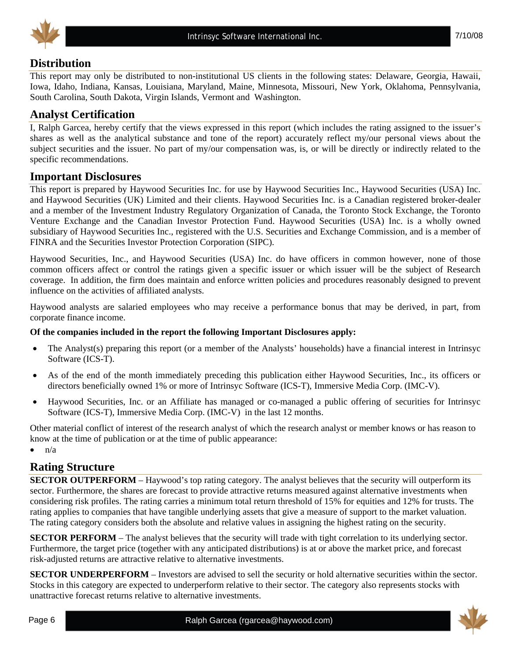



## **Distribution**

This report may only be distributed to non-institutional US clients in the following states: Delaware, Georgia, Hawaii, Iowa, Idaho, Indiana, Kansas, Louisiana, Maryland, Maine, Minnesota, Missouri, New York, Oklahoma, Pennsylvania, South Carolina, South Dakota, Virgin Islands, Vermont and Washington.

# **Analyst Certification**

I, Ralph Garcea, hereby certify that the views expressed in this report (which includes the rating assigned to the issuer's shares as well as the analytical substance and tone of the report) accurately reflect my/our personal views about the subject securities and the issuer. No part of my/our compensation was, is, or will be directly or indirectly related to the specific recommendations.

#### **Important Disclosures**

This report is prepared by Haywood Securities Inc. for use by Haywood Securities Inc., Haywood Securities (USA) Inc. and Haywood Securities (UK) Limited and their clients. Haywood Securities Inc. is a Canadian registered broker-dealer and a member of the Investment Industry Regulatory Organization of Canada, the Toronto Stock Exchange, the Toronto Venture Exchange and the Canadian Investor Protection Fund. Haywood Securities (USA) Inc. is a wholly owned subsidiary of Haywood Securities Inc., registered with the U.S. Securities and Exchange Commission, and is a member of FINRA and the Securities Investor Protection Corporation (SIPC).

Haywood Securities, Inc., and Haywood Securities (USA) Inc. do have officers in common however, none of those common officers affect or control the ratings given a specific issuer or which issuer will be the subject of Research coverage. In addition, the firm does maintain and enforce written policies and procedures reasonably designed to prevent influence on the activities of affiliated analysts.

Haywood analysts are salaried employees who may receive a performance bonus that may be derived, in part, from corporate finance income.

#### **Of the companies included in the report the following Important Disclosures apply:**

- The Analyst(s) preparing this report (or a member of the Analysts' households) have a financial interest in Intrinsyc Software (ICS-T).
- As of the end of the month immediately preceding this publication either Haywood Securities, Inc., its officers or directors beneficially owned 1% or more of Intrinsyc Software (ICS-T), Immersive Media Corp. (IMC-V).
- Haywood Securities, Inc. or an Affiliate has managed or co-managed a public offering of securities for Intrinsyc Software (ICS-T), Immersive Media Corp. (IMC-V) in the last 12 months.

Other material conflict of interest of the research analyst of which the research analyst or member knows or has reason to know at the time of publication or at the time of public appearance:

 $n/a$ 

#### **Rating Structure**

**SECTOR OUTPERFORM** – Haywood's top rating category. The analyst believes that the security will outperform its sector. Furthermore, the shares are forecast to provide attractive returns measured against alternative investments when considering risk profiles. The rating carries a minimum total return threshold of 15% for equities and 12% for trusts. The rating applies to companies that have tangible underlying assets that give a measure of support to the market valuation. The rating category considers both the absolute and relative values in assigning the highest rating on the security.

**SECTOR PERFORM** – The analyst believes that the security will trade with tight correlation to its underlying sector. Furthermore, the target price (together with any anticipated distributions) is at or above the market price, and forecast risk-adjusted returns are attractive relative to alternative investments.

**SECTOR UNDERPERFORM** – Investors are advised to sell the security or hold alternative securities within the sector. Stocks in this category are expected to underperform relative to their sector. The category also represents stocks with unattractive forecast returns relative to alternative investments.

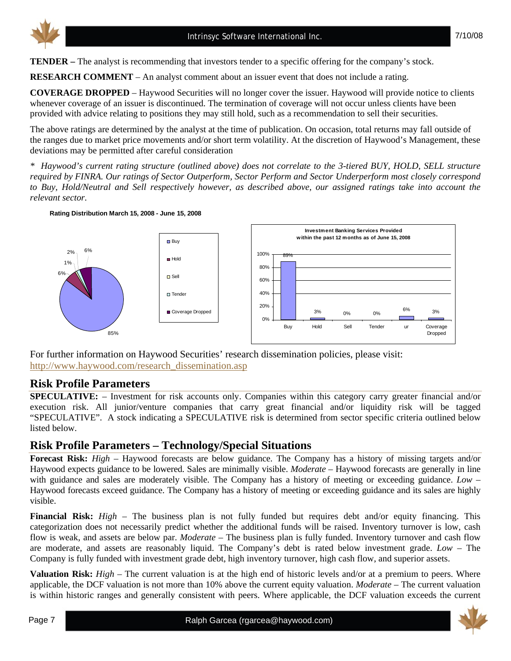**TENDER –** The analyst is recommending that investors tender to a specific offering for the company's stock.

**RESEARCH COMMENT** – An analyst comment about an issuer event that does not include a rating.

**COVERAGE DROPPED** – Haywood Securities will no longer cover the issuer. Haywood will provide notice to clients whenever coverage of an issuer is discontinued. The termination of coverage will not occur unless clients have been provided with advice relating to positions they may still hold, such as a recommendation to sell their securities.

The above ratings are determined by the analyst at the time of publication. On occasion, total returns may fall outside of the ranges due to market price movements and/or short term volatility. At the discretion of Haywood's Management, these deviations may be permitted after careful consideration

*\* Haywood's current rating structure (outlined above) does not correlate to the 3-tiered BUY, HOLD, SELL structure required by FINRA. Our ratings of Sector Outperform, Sector Perform and Sector Underperform most closely correspond to Buy, Hold/Neutral and Sell respectively however, as described above, our assigned ratings take into account the relevant sector.* 



**Rating Distribution March 15, 2008 - June 15, 2008**

For further information on Haywood Securities' research dissemination policies, please visit: http://www.haywood.com/research\_dissemination.asp

#### **Risk Profile Parameters**

**SPECULATIVE:** – Investment for risk accounts only. Companies within this category carry greater financial and/or execution risk. All junior/venture companies that carry great financial and/or liquidity risk will be tagged "SPECULATIVE". A stock indicating a SPECULATIVE risk is determined from sector specific criteria outlined below listed below.

#### **Risk Profile Parameters – Technology/Special Situations**

**Forecast Risk:** *High* – Haywood forecasts are below guidance. The Company has a history of missing targets and/or Haywood expects guidance to be lowered. Sales are minimally visible. *Moderate* – Haywood forecasts are generally in line with guidance and sales are moderately visible. The Company has a history of meeting or exceeding guidance. *Low* – Haywood forecasts exceed guidance. The Company has a history of meeting or exceeding guidance and its sales are highly visible.

**Financial Risk:** *High* – The business plan is not fully funded but requires debt and/or equity financing. This categorization does not necessarily predict whether the additional funds will be raised. Inventory turnover is low, cash flow is weak, and assets are below par. *Moderate* – The business plan is fully funded. Inventory turnover and cash flow are moderate, and assets are reasonably liquid. The Company's debt is rated below investment grade. *Low* – The Company is fully funded with investment grade debt, high inventory turnover, high cash flow, and superior assets.

**Valuation Risk:** *High* – The current valuation is at the high end of historic levels and/or at a premium to peers. Where applicable, the DCF valuation is not more than 10% above the current equity valuation. *Moderate* – The current valuation is within historic ranges and generally consistent with peers. Where applicable, the DCF valuation exceeds the current